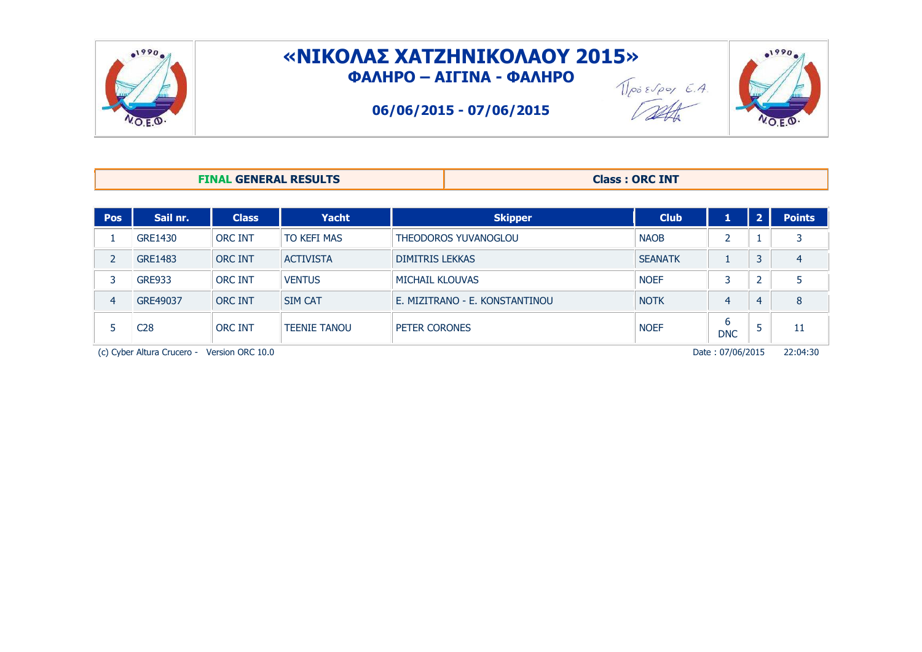

## **«ΝΘΙΟΚΑΣ ΦΑΤΖΗΝΘΙΟΚΑΟΥ 2015» ΦΑΚΗΡΟ – ΑΘΓΘΝΑ - ΦΑΚΗΡΟ**

**06/06/2015 - 07/06/2015**





 $01990$ 

| <b>FINAL GENERAL RESULTS</b> | <b>Class: ORC INT</b> |
|------------------------------|-----------------------|
|------------------------------|-----------------------|

| <b>Pos</b>     | Sail nr.                   | <b>Class</b>     | <b>Yacht</b>        | <b>Skipper</b>                 | <b>Club</b>    | 1                |   | <b>Points</b> |
|----------------|----------------------------|------------------|---------------------|--------------------------------|----------------|------------------|---|---------------|
|                | <b>GRE1430</b>             | <b>ORC INT</b>   | TO KEFI MAS         | THEODOROS YUVANOGLOU           | <b>NAOB</b>    | $\overline{2}$   |   | 3             |
| $\overline{2}$ | <b>GRE1483</b>             | <b>ORC INT</b>   | <b>ACTIVISTA</b>    | <b>DIMITRIS LEKKAS</b>         | <b>SEANATK</b> |                  |   | 4             |
| 3              | <b>GRE933</b>              | <b>ORC INT</b>   | <b>VENTUS</b>       | <b>MICHAIL KLOUVAS</b>         | <b>NOEF</b>    | 3                |   | 5             |
| 4              | GRE49037                   | <b>ORC INT</b>   | <b>SIM CAT</b>      | E. MIZITRANO - E. KONSTANTINOU | <b>NOTK</b>    | 4                | 4 | 8             |
|                | C <sub>28</sub>            | <b>ORC INT</b>   | <b>TEENIE TANOU</b> | PETER CORONES                  | <b>NOEF</b>    | b<br><b>DNC</b>  |   | 11            |
|                | (c) Cyber Altura Crucero - | Version ORC 10.0 |                     |                                |                | Date: 07/06/2015 |   | 22:04:30      |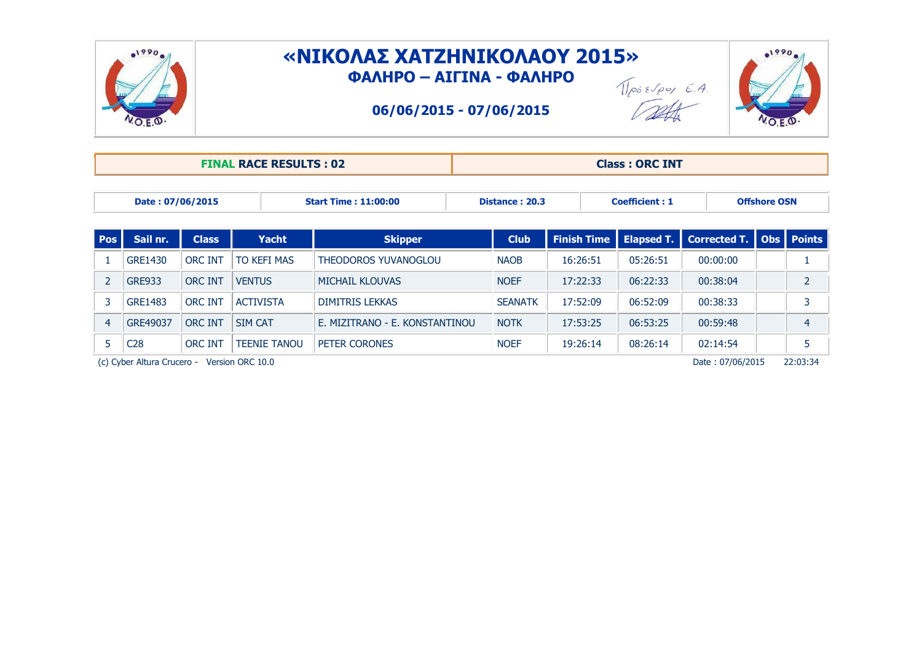

## **«ΝΙΚΟΛΑΣ ΧΑΤΖΗΝΙΚΟΛΑΟΥ 2015» ΦΑΚΗΡΟ – ΑΘΓΘΝΑ - ΦΑΚΗΡΟ**  $\sqrt{\int e^{i\delta} \epsilon \sqrt{\rho} e^{i\delta} \sqrt{E} \cdot A}$

**06/06/2015 - 07/06/2015**



| <b>FINAL RACE RESULTS: 02</b> | <b>Class: ORC INT</b> |
|-------------------------------|-----------------------|
|                               |                       |

|  | Date: 07/06/2015 | <b>Start Time: 11:00:00</b> | Distance: 20.3 | Coefficient : 1 | Offshore OSN |
|--|------------------|-----------------------------|----------------|-----------------|--------------|
|--|------------------|-----------------------------|----------------|-----------------|--------------|

| <b>Pos</b> | Sail nr.        | <b>Class</b>   | Yacht               | <b>Skipper</b>                 | <b>Club</b>    | <b>Finish Time</b> |          | <b>Elapsed T.</b> Corrected T. Obs Points |   |
|------------|-----------------|----------------|---------------------|--------------------------------|----------------|--------------------|----------|-------------------------------------------|---|
|            | GRE1430         | <b>ORC INT</b> | <b>TO KEFI MAS</b>  | THEODOROS YUVANOGLOU           | <b>NAOB</b>    | 16:26:51           | 05:26:51 | 00:00:00                                  |   |
|            | <b>GRE933</b>   | <b>ORC INT</b> | <b>VENTUS</b>       | MICHAIL KLOUVAS                | <b>NOEF</b>    | 17:22:33           | 06:22:33 | 00:38:04                                  |   |
|            | GRE1483         | <b>ORC INT</b> | <b>ACTIVISTA</b>    | <b>DIMITRIS LEKKAS</b>         | <b>SEANATK</b> | 17:52:09           | 06:52:09 | 00:38:33                                  |   |
|            | GRE49037        | <b>ORC INT</b> | <b>SIM CAT</b>      | E. MIZITRANO - E. KONSTANTINOU | <b>NOTK</b>    | 17:53:25           | 06:53:25 | 00:59:48                                  | 4 |
|            | C <sub>28</sub> | <b>ORC INT</b> | <b>TFFNIF TANOU</b> | PETER CORONES                  | <b>NOEF</b>    | 19:26:14           | 08:26:14 | 02:14:54                                  |   |

(c) Cyber Altura Crucero - Version ORC 10.0 Date : 07/06/2015 22:03:34